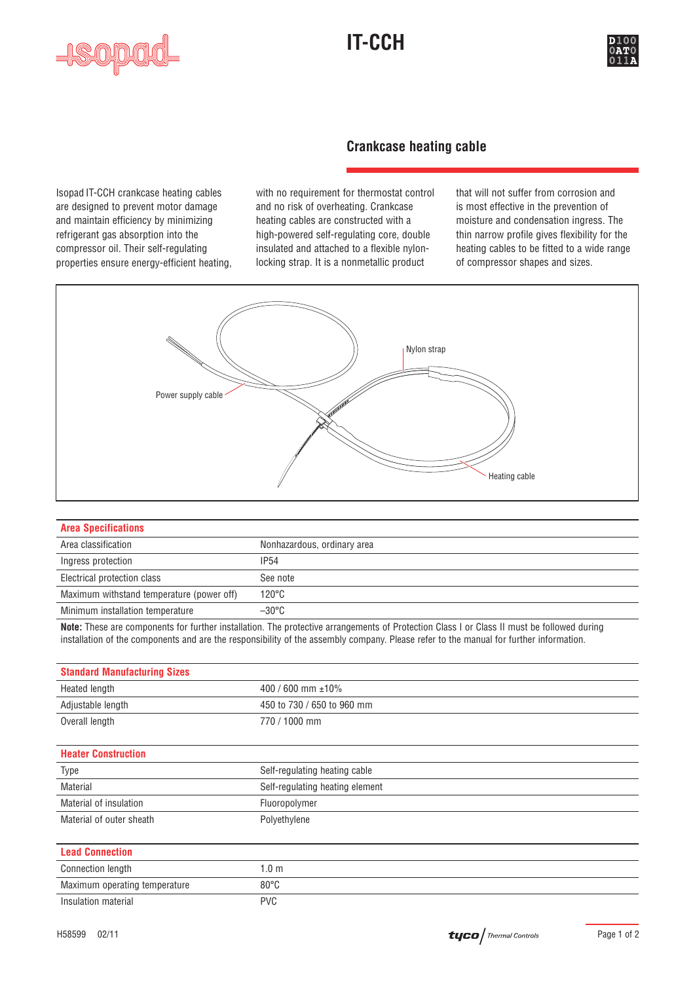





### **Crankcase heating cable**

Isopad IT-CCH crankcase heating cables with no requirement for thermostat control that will not suffer from corrosion and are designed to prevent motor damage and no risk of overheating. Crankcase is most effective in the prevention of and maintain efficiency by minimizing heating cables are constructed with a moisture and condensation ingress. The refrigerant gas absorption into the high-powered self-regulating core, double thin narrow profile gives flexibility for the compressor oil. Their self-regulating insulated and attached to a flexible nylon- heating cables to be fitted to a wide range properties ensure energy-efficient heating, locking strap. It is a nonmetallic product of compressor shapes and sizes.



| <b>Area Specifications</b>                |                             |  |  |
|-------------------------------------------|-----------------------------|--|--|
|                                           |                             |  |  |
| Area classification                       | Nonhazardous, ordinary area |  |  |
| Ingress protection                        | IP54                        |  |  |
| Electrical protection class               | See note                    |  |  |
| Maximum withstand temperature (power off) | $120^{\circ}$ C             |  |  |
| Minimum installation temperature          | $-30^{\circ}$ C             |  |  |
|                                           |                             |  |  |

**Note:** These are components for further installation. The protective arrangements of Protection Class I or Class II must be followed during installation of the components and are the responsibility of the assembly company. Please refer to the manual for further information.

| <b>Standard Manufacturing Sizes</b> |                                 |  |  |
|-------------------------------------|---------------------------------|--|--|
| Heated length                       | 400 / 600 mm $\pm$ 10%          |  |  |
| Adjustable length                   | 450 to 730 / 650 to 960 mm      |  |  |
| Overall length                      | 770 / 1000 mm                   |  |  |
|                                     |                                 |  |  |
| <b>Heater Construction</b>          |                                 |  |  |
| Type                                | Self-regulating heating cable   |  |  |
| Material                            | Self-regulating heating element |  |  |
| Material of insulation              | Fluoropolymer                   |  |  |
| Material of outer sheath            | Polyethylene                    |  |  |
|                                     |                                 |  |  |
| <b>Lead Connection</b>              |                                 |  |  |
| <b>Connection length</b>            | 1.0 <sub>m</sub>                |  |  |
| Maximum operating temperature       | $80^{\circ}$ C                  |  |  |
| Insulation material                 | <b>PVC</b>                      |  |  |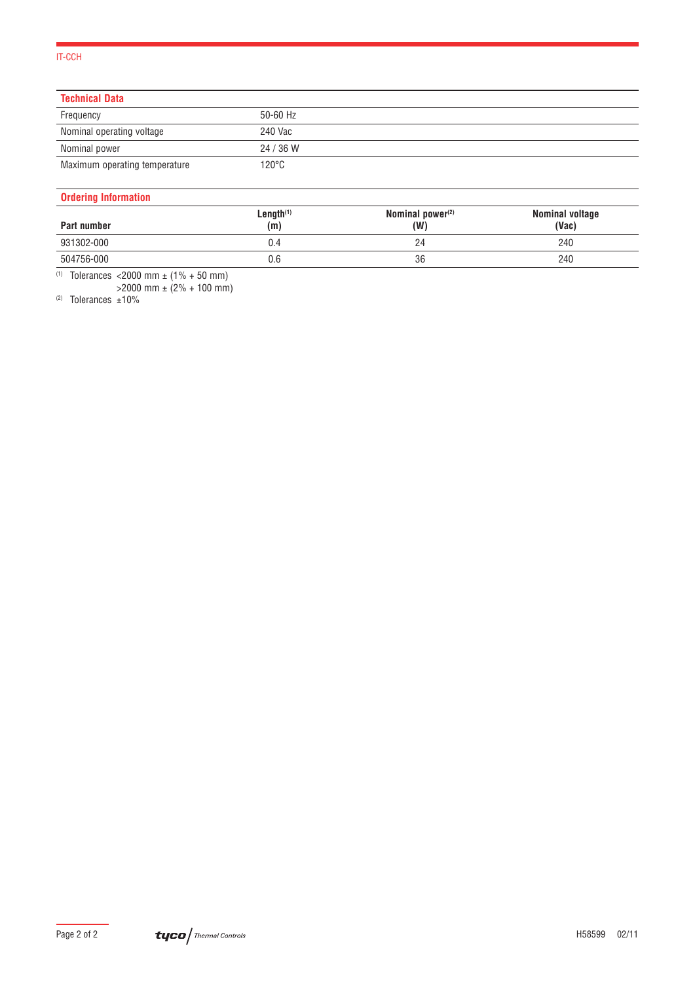### IT-CCH

| <b>Technical Data</b>         |                 |  |
|-------------------------------|-----------------|--|
| Frequency                     | 50-60 Hz        |  |
| Nominal operating voltage     | 240 Vac         |  |
| Nominal power                 | 24 / 36 W       |  |
| Maximum operating temperature | $120^{\circ}$ C |  |

### **Ordering Information**

| Part number | Length $(1)$<br>(m) | Nominal power $(2)$<br>(W) | Nominal voltage<br>(Vac) |
|-------------|---------------------|----------------------------|--------------------------|
| 931302-000  | J.4                 | 24                         | 240                      |
| 504756-000  | 0.6                 | 36                         | 240                      |

(1) Tolerances <2000 mm ± (1% + 50 mm)

>2000 mm ± (2% + 100 mm)

(2) Tolerances ±10%